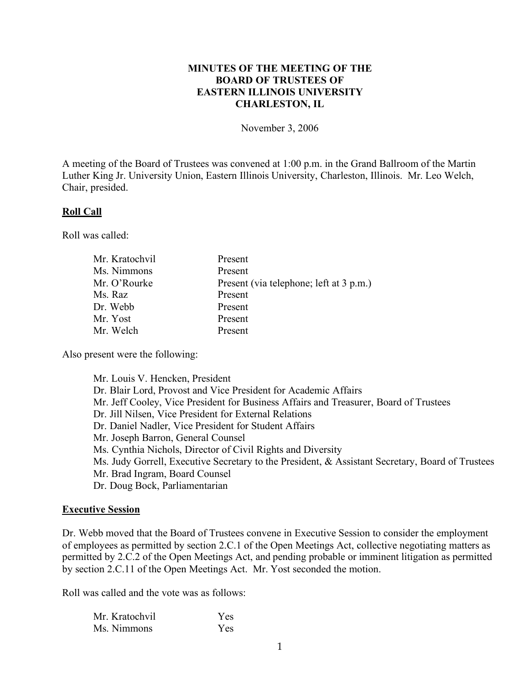## **MINUTES OF THE MEETING OF THE BOARD OF TRUSTEES OF EASTERN ILLINOIS UNIVERSITY CHARLESTON, IL**

November 3, 2006

A meeting of the Board of Trustees was convened at 1:00 p.m. in the Grand Ballroom of the Martin Luther King Jr. University Union, Eastern Illinois University, Charleston, Illinois. Mr. Leo Welch, Chair, presided.

### **Roll Call**

Roll was called:

| Mr. Kratochvil | Present                                 |
|----------------|-----------------------------------------|
| Ms. Nimmons    | Present                                 |
| Mr. O'Rourke   | Present (via telephone; left at 3 p.m.) |
| Ms. Raz        | Present                                 |
| Dr. Webb       | Present                                 |
| Mr. Yost       | Present                                 |
| Mr. Welch      | Present                                 |

Also present were the following:

Mr. Louis V. Hencken, President Dr. Blair Lord, Provost and Vice President for Academic Affairs Mr. Jeff Cooley, Vice President for Business Affairs and Treasurer, Board of Trustees Dr. Jill Nilsen, Vice President for External Relations Dr. Daniel Nadler, Vice President for Student Affairs Mr. Joseph Barron, General Counsel Ms. Cynthia Nichols, Director of Civil Rights and Diversity Ms. Judy Gorrell, Executive Secretary to the President, & Assistant Secretary, Board of Trustees Mr. Brad Ingram, Board Counsel Dr. Doug Bock, Parliamentarian

### **Executive Session**

Dr. Webb moved that the Board of Trustees convene in Executive Session to consider the employment of employees as permitted by section 2.C.1 of the Open Meetings Act, collective negotiating matters as permitted by 2.C.2 of the Open Meetings Act, and pending probable or imminent litigation as permitted by section 2.C.11 of the Open Meetings Act. Mr. Yost seconded the motion.

Roll was called and the vote was as follows:

| Mr. Kratochvil | Yes        |
|----------------|------------|
| Ms. Nimmons    | <b>Yes</b> |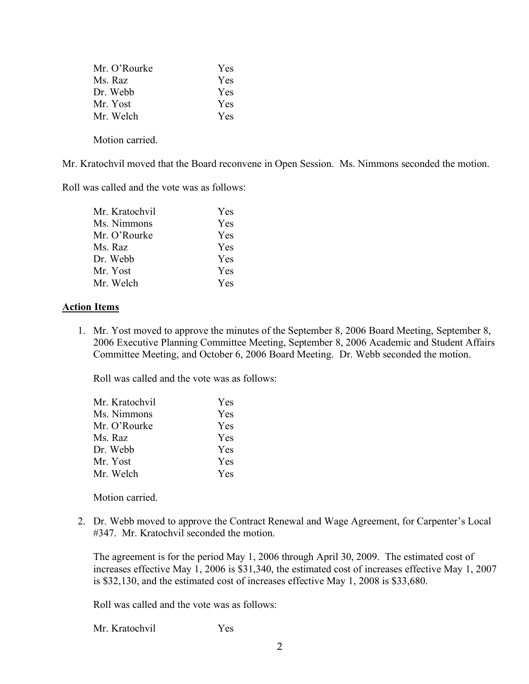| Mr. O'Rourke    | Yes |
|-----------------|-----|
| Ms. Raz         | Yes |
| Dr. Webb        | Yes |
| Mr. Yost        | Yes |
| Mr. Welch       | Yes |
| Motion carried. |     |

Mr. Kratochvil moved that the Board reconvene in Open Session. Ms. Nimmons seconded the motion.

Roll was called and the vote was as follows:

| Mr. Kratochvil | Yes        |
|----------------|------------|
| Ms. Nimmons    | Yes        |
| Mr. O'Rourke   | Yes        |
| Ms. Raz        | Yes        |
| Dr. Webb       | <b>Yes</b> |
| Mr. Yost       | Yes        |
| Mr. Welch      | Yes        |
|                |            |

### **Action Items**

1. Mr. Yost moved to approve the minutes of the September 8, 2006 Board Meeting, September 8, 2006 Executive Planning Committee Meeting, September 8, 2006 Academic and Student Affairs Committee Meeting, and October 6, 2006 Board Meeting. Dr. Webb seconded the motion.

Roll was called and the vote was as follows:

| Mr. Kratochvil | Yes        |
|----------------|------------|
| Ms. Nimmons    | Yes        |
| Mr. O'Rourke   | <b>Yes</b> |
| Ms. Raz        | Yes        |
| Dr. Webb       | <b>Yes</b> |
| Mr. Yost       | <b>Yes</b> |
| Mr. Welch      | Yes        |
|                |            |

Motion carried.

2. Dr. Webb moved to approve the Contract Renewal and Wage Agreement, for Carpenter's Local #347. Mr. Kratochvil seconded the motion.

The agreement is for the period May 1, 2006 through April 30, 2009. The estimated cost of increases effective May 1, 2006 is \$31,340, the estimated cost of increases effective May 1, 2007 is \$32,130, and the estimated cost of increases effective May 1, 2008 is \$33,680.

Roll was called and the vote was as follows:

Mr. Kratochvil Yes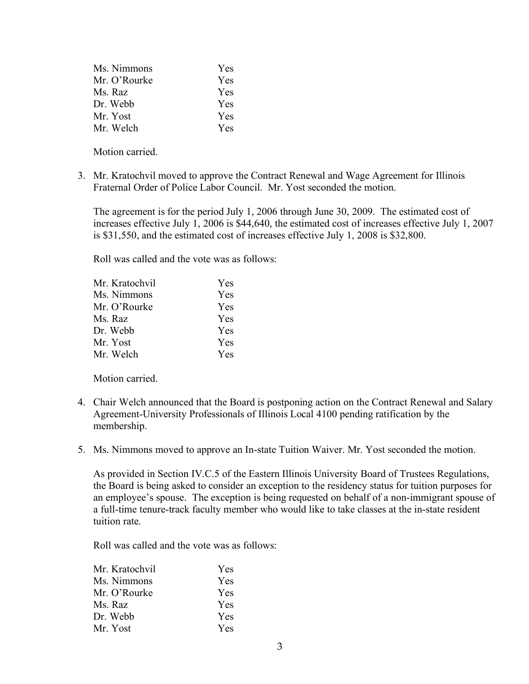| Ms. Nimmons  | <b>Yes</b> |
|--------------|------------|
| Mr. O'Rourke | <b>Yes</b> |
| Ms. Raz      | Yes        |
| Dr. Webb     | Yes        |
| Mr. Yost     | <b>Yes</b> |
| Mr. Welch    | Yes        |

Motion carried.

3. Mr. Kratochvil moved to approve the Contract Renewal and Wage Agreement for Illinois Fraternal Order of Police Labor Council. Mr. Yost seconded the motion.

The agreement is for the period July 1, 2006 through June 30, 2009. The estimated cost of increases effective July 1, 2006 is \$44,640, the estimated cost of increases effective July 1, 2007 is \$31,550, and the estimated cost of increases effective July 1, 2008 is \$32,800.

Roll was called and the vote was as follows:

| Mr. Kratochvil | <b>Yes</b> |
|----------------|------------|
| Ms. Nimmons    | <b>Yes</b> |
| Mr. O'Rourke   | <b>Yes</b> |
| Ms. Raz        | <b>Yes</b> |
| Dr. Webb       | <b>Yes</b> |
| Mr. Yost       | <b>Yes</b> |
| Mr. Welch      | Yes.       |

Motion carried.

- 4. Chair Welch announced that the Board is postponing action on the Contract Renewal and Salary Agreement-University Professionals of Illinois Local 4100 pending ratification by the membership.
- 5. Ms. Nimmons moved to approve an In-state Tuition Waiver. Mr. Yost seconded the motion.

As provided in Section IV.C.5 of the Eastern Illinois University Board of Trustees Regulations, the Board is being asked to consider an exception to the residency status for tuition purposes for an employee's spouse. The exception is being requested on behalf of a non-immigrant spouse of a full-time tenure-track faculty member who would like to take classes at the in-state resident tuition rate.

Roll was called and the vote was as follows:

| Mr. Kratochvil | Yes        |
|----------------|------------|
| Ms. Nimmons    | Yes        |
| Mr. O'Rourke   | Yes        |
| Ms. Raz        | <b>Yes</b> |
| Dr. Webb       | Yes        |
| Mr. Yost       | Yes        |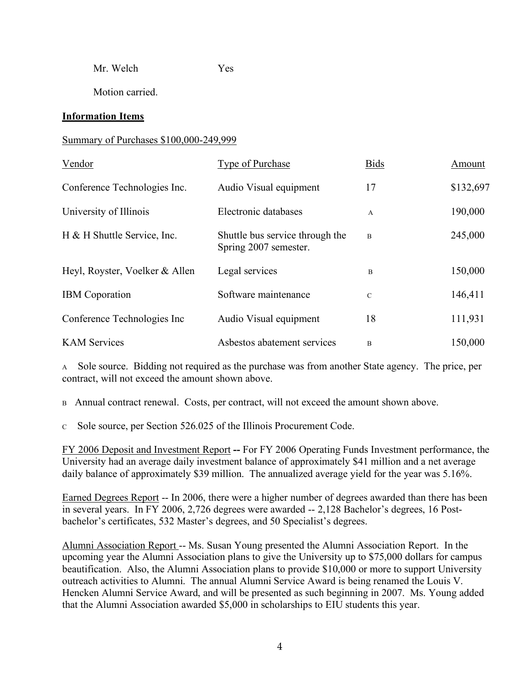Mr. Welch Yes

Motion carried.

## **Information Items**

## Summary of Purchases \$100,000-249,999

| Vendor                         | <b>Type of Purchase</b>                                  | <b>Bids</b>    | Amount    |
|--------------------------------|----------------------------------------------------------|----------------|-----------|
| Conference Technologies Inc.   | Audio Visual equipment                                   | 17             | \$132,697 |
| University of Illinois         | Electronic databases                                     | $\mathbf{A}$   | 190,000   |
| H & H Shuttle Service, Inc.    | Shuttle bus service through the<br>Spring 2007 semester. | $\overline{B}$ | 245,000   |
| Heyl, Royster, Voelker & Allen | Legal services                                           | B              | 150,000   |
| <b>IBM</b> Coporation          | Software maintenance                                     | $\mathcal{C}$  | 146,411   |
| Conference Technologies Inc    | Audio Visual equipment                                   | 18             | 111,931   |
| <b>KAM Services</b>            | Asbestos abatement services                              | B              | 150,000   |

<sup>A</sup> Sole source. Bidding not required as the purchase was from another State agency. The price, per contract, will not exceed the amount shown above.

B Annual contract renewal. Costs, per contract, will not exceed the amount shown above.

<sup>C</sup> Sole source, per Section 526.025 of the Illinois Procurement Code.

FY 2006 Deposit and Investment Report **--** For FY 2006 Operating Funds Investment performance, the University had an average daily investment balance of approximately \$41 million and a net average daily balance of approximately \$39 million. The annualized average yield for the year was 5.16%.

Earned Degrees Report -- In 2006, there were a higher number of degrees awarded than there has been in several years. In FY 2006, 2,726 degrees were awarded -- 2,128 Bachelor's degrees, 16 Postbachelor's certificates, 532 Master's degrees, and 50 Specialist's degrees.

Alumni Association Report -- Ms. Susan Young presented the Alumni Association Report. In the upcoming year the Alumni Association plans to give the University up to \$75,000 dollars for campus beautification. Also, the Alumni Association plans to provide \$10,000 or more to support University outreach activities to Alumni. The annual Alumni Service Award is being renamed the Louis V. Hencken Alumni Service Award, and will be presented as such beginning in 2007. Ms. Young added that the Alumni Association awarded \$5,000 in scholarships to EIU students this year.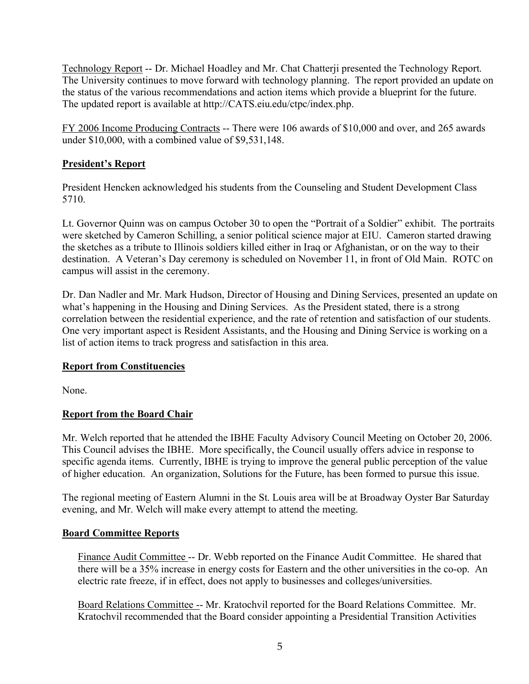Technology Report -- Dr. Michael Hoadley and Mr. Chat Chatterji presented the Technology Report. The University continues to move forward with technology planning. The report provided an update on the status of the various recommendations and action items which provide a blueprint for the future. The updated report is available at http://CATS.eiu.edu/ctpc/index.php.

FY 2006 Income Producing Contracts -- There were 106 awards of \$10,000 and over, and 265 awards under \$10,000, with a combined value of \$9,531,148.

## **President's Report**

President Hencken acknowledged his students from the Counseling and Student Development Class 5710.

Lt. Governor Quinn was on campus October 30 to open the "Portrait of a Soldier" exhibit. The portraits were sketched by Cameron Schilling, a senior political science major at EIU. Cameron started drawing the sketches as a tribute to Illinois soldiers killed either in Iraq or Afghanistan, or on the way to their destination. A Veteran's Day ceremony is scheduled on November 11, in front of Old Main. ROTC on campus will assist in the ceremony.

Dr. Dan Nadler and Mr. Mark Hudson, Director of Housing and Dining Services, presented an update on what's happening in the Housing and Dining Services. As the President stated, there is a strong correlation between the residential experience, and the rate of retention and satisfaction of our students. One very important aspect is Resident Assistants, and the Housing and Dining Service is working on a list of action items to track progress and satisfaction in this area.

## **Report from Constituencies**

None.

# **Report from the Board Chair**

Mr. Welch reported that he attended the IBHE Faculty Advisory Council Meeting on October 20, 2006. This Council advises the IBHE. More specifically, the Council usually offers advice in response to specific agenda items. Currently, IBHE is trying to improve the general public perception of the value of higher education. An organization, Solutions for the Future, has been formed to pursue this issue.

The regional meeting of Eastern Alumni in the St. Louis area will be at Broadway Oyster Bar Saturday evening, and Mr. Welch will make every attempt to attend the meeting.

## **Board Committee Reports**

Finance Audit Committee -- Dr. Webb reported on the Finance Audit Committee. He shared that there will be a 35% increase in energy costs for Eastern and the other universities in the co-op. An electric rate freeze, if in effect, does not apply to businesses and colleges/universities.

Board Relations Committee -- Mr. Kratochvil reported for the Board Relations Committee. Mr. Kratochvil recommended that the Board consider appointing a Presidential Transition Activities